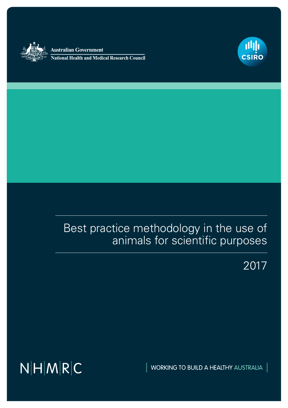

Australian Government **National Health and Medical Research Council** 



# Best practice methodology in the use of animals for scientific purposes

2017

 $N|H|M|R|C$ 

WORKING TO BUILD A HEALTHY AUSTRALIA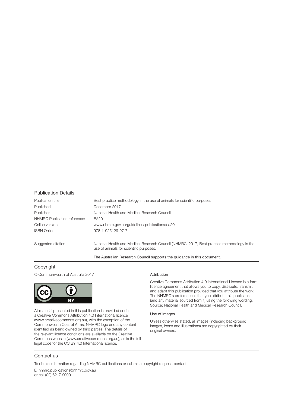#### Publication Details

| Publication title:           | Best practice methodology in the use of animals for scientific purposes                                                                |
|------------------------------|----------------------------------------------------------------------------------------------------------------------------------------|
| Published:                   | December 2017                                                                                                                          |
| Publisher:                   | National Health and Medical Research Council                                                                                           |
| NHMRC Publication reference: | EA20                                                                                                                                   |
| Online version:              | www.nhmrc.gov.au/quidelines-publications/ea20                                                                                          |
| <b>ISBN Online:</b>          | 978-1-925129-97-7                                                                                                                      |
| Suggested citation:          | National Health and Medical Research Council (NHMRC) 2017, Best practice methodology in the<br>use of animals for scientific purposes. |

The Australian Research Council supports the guidance in this document.

#### Copyright

© Commonwealth of Australia 2017



All material presented in this publication is provided under a Creative Commons Attribution 4.0 International licence (www.creativecommons.org.au), with the exception of the Commonwealth Coat of Arms, NHMRC logo and any content identified as being owned by third parties. The details of the relevant licence conditions are available on the Creative Commons website (www.creativecommons.org.au), as is the full legal code for the CC BY 4.0 International licence.

#### Attribution

Creative Commons Attribution 4.0 International Licence is a form licence agreement that allows you to copy, distribute, transmit and adapt this publication provided that you attribute the work. The NHMRC's preference is that you attribute this publication (and any material sourced from it) using the following wording: Source: National Health and Medical Research Council.

#### Use of images

Unless otherwise stated, all images (including background images, icons and illustrations) are copyrighted by their original owners.

#### Contact us

To obtain information regarding NHMRC publications or submit a copyright request, contact:

E: nhmrc.publications@nhmrc.gov.au or call (02) 6217 9000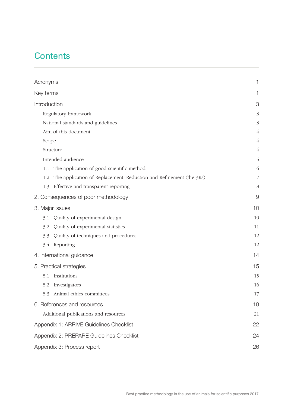# **Contents**

| Acronyms                                                                  | 1              |
|---------------------------------------------------------------------------|----------------|
| Key terms                                                                 | 1              |
| Introduction                                                              | 3              |
| Regulatory framework                                                      |                |
| National standards and guidelines                                         |                |
| Aim of this document                                                      |                |
| Scope                                                                     | $\overline{4}$ |
| Structure                                                                 | $\overline{4}$ |
| Intended audience                                                         | 5              |
| The application of good scientific method<br>1.1                          | 6              |
| The application of Replacement, Reduction and Refinement (the 3Rs)<br>1.2 | 7              |
| Effective and transparent reporting<br>1.3                                | 8              |
| 2. Consequences of poor methodology                                       | 9              |
| 3. Major issues                                                           | 10             |
| Quality of experimental design<br>3.1                                     | 10             |
| Quality of experimental statistics<br>3.2                                 | 11             |
| Quality of techniques and procedures<br>3.3                               | 12             |
| Reporting<br>3.4                                                          | 12             |
| 4. International guidance                                                 | 14             |
| 5. Practical strategies                                                   | 15             |
| Institutions<br>5.1                                                       | 15             |
| 5.2 Investigators                                                         | 16             |
| 5.3<br>Animal ethics committees                                           | 17             |
| 6. References and resources                                               | 18             |
| Additional publications and resources                                     |                |
| Appendix 1: ARRIVE Guidelines Checklist                                   | 22             |
| Appendix 2: PREPARE Guidelines Checklist                                  | 24             |
| Appendix 3: Process report                                                |                |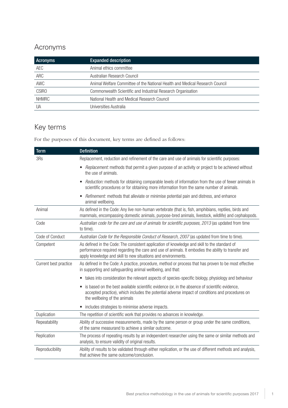## <span id="page-3-0"></span>Acronyms

| <b>Acronyms</b> | <b>Expanded description</b>                                                  |
|-----------------|------------------------------------------------------------------------------|
| AEC             | Animal ethics committee                                                      |
| ARC             | Australian Research Council                                                  |
| AWC             | Animal Welfare Committee of the National Health and Medical Research Council |
| <b>CSIRO</b>    | Commonwealth Scientific and Industrial Research Organisation                 |
| <b>NHMRC</b>    | National Health and Medical Research Council                                 |
| UA              | Universities Australia                                                       |

# Key terms

For the purposes of this document, key terms are defined as follows:

| <b>Term</b>           | <b>Definition</b>                                                                                                                                                                                                                                                    |
|-----------------------|----------------------------------------------------------------------------------------------------------------------------------------------------------------------------------------------------------------------------------------------------------------------|
| 3Rs                   | Replacement, reduction and refinement of the care and use of animals for scientific purposes:                                                                                                                                                                        |
|                       | Replacement: methods that permit a given purpose of an activity or project to be achieved without<br>the use of animals.                                                                                                                                             |
|                       | Reduction: methods for obtaining comparable levels of information from the use of fewer animals in<br>$\bullet$<br>scientific procedures or for obtaining more information from the same number of animals.                                                          |
|                       | Refinement: methods that alleviate or minimise potential pain and distress, and enhance<br>animal wellbeing.                                                                                                                                                         |
| Animal                | As defined in the Code: Any live non-human vertebrate (that is, fish, amphibians, reptiles, birds and<br>mammals, encompassing domestic animals, purpose-bred animals, livestock, wildlife) and cephalopods.                                                         |
| Code                  | Australian code for the care and use of animals for scientific purposes, 2013 (as updated from time<br>to time).                                                                                                                                                     |
| Code of Conduct       | Australian Code for the Responsible Conduct of Research, 2007 (as updated from time to time).                                                                                                                                                                        |
| Competent             | As defined in the Code: The consistent application of knowledge and skill to the standard of<br>performance required regarding the care and use of animals. It embodies the ability to transfer and<br>apply knowledge and skill to new situations and environments. |
| Current best practice | As defined in the Code: A practice, procedure, method or process that has proven to be most effective<br>in supporting and safeguarding animal wellbeing, and that:                                                                                                  |
|                       | takes into consideration the relevant aspects of species-specific biology, physiology and behaviour<br>$\bullet$                                                                                                                                                     |
|                       | is based on the best available scientific evidence (or, in the absence of scientific evidence,<br>$\bullet$<br>accepted practice), which includes the potential adverse impact of conditions and procedures on<br>the wellbeing of the animals                       |
|                       | includes strategies to minimise adverse impacts.<br>$\bullet$                                                                                                                                                                                                        |
| Duplication           | The repetition of scientific work that provides no advances in knowledge.                                                                                                                                                                                            |
| Repeatability         | Ability of successive measurements, made by the same person or group under the same conditions,<br>of the same measurand to achieve a similar outcome.                                                                                                               |
| Replication           | The process of repeating results by an independent researcher using the same or similar methods and<br>analysis, to ensure validity of original results.                                                                                                             |
| Reproducibility       | Ability of results to be validated through either replication, or the use of different methods and analysis,<br>that achieve the same outcome/conclusion.                                                                                                            |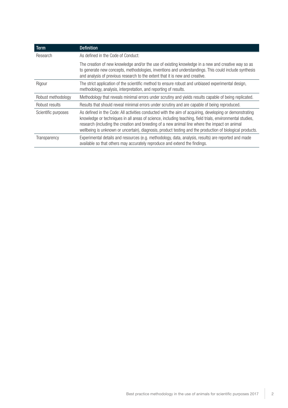| <b>Term</b>         | <b>Definition</b>                                                                                                                                                                                                                                                                                                                                                                                                                  |
|---------------------|------------------------------------------------------------------------------------------------------------------------------------------------------------------------------------------------------------------------------------------------------------------------------------------------------------------------------------------------------------------------------------------------------------------------------------|
| Research            | As defined in the Code of Conduct:                                                                                                                                                                                                                                                                                                                                                                                                 |
|                     | The creation of new knowledge and/or the use of existing knowledge in a new and creative way so as<br>to generate new concepts, methodologies, inventions and understandings. This could include synthesis<br>and analysis of previous research to the extent that it is new and creative.                                                                                                                                         |
| Rigour              | The strict application of the scientific method to ensure robust and unbiased experimental design,<br>methodology, analysis, interpretation, and reporting of results.                                                                                                                                                                                                                                                             |
| Robust methodology  | Methodology that reveals minimal errors under scrutiny and yields results capable of being replicated.                                                                                                                                                                                                                                                                                                                             |
| Robust results      | Results that should reveal minimal errors under scrutiny and are capable of being reproduced.                                                                                                                                                                                                                                                                                                                                      |
| Scientific purposes | As defined in the Code: All activities conducted with the aim of acquiring, developing or demonstrating<br>knowledge or techniques in all areas of science, including teaching, field trials, environmental studies,<br>research (including the creation and breeding of a new animal line where the impact on animal<br>wellbeing is unknown or uncertain), diagnosis, product testing and the production of biological products. |
| Transparency        | Experimental details and resources (e.g. methodology, data, analysis, results) are reported and made<br>available so that others may accurately reproduce and extend the findings.                                                                                                                                                                                                                                                 |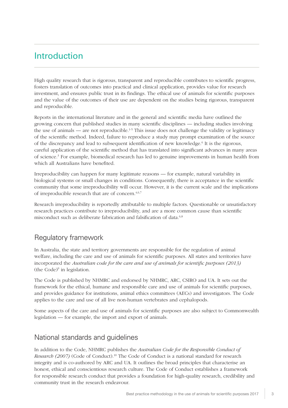# <span id="page-5-0"></span>Introduction

High quality research that is rigorous, transparent and reproducible contributes to scientific progress, fosters translation of outcomes into practical and clinical application, provides value for research investment, and ensures public trust in its findings. The ethical use of animals for scientific purposes and the value of the outcomes of their use are dependent on the studies being rigorous, transparent and reproducible.

Reports in the international literature and in the general and scientific media have outlined the growing concern that published studies in many scientific disciplines — including studies involving the use of animals — are not reproducible.<sup>1-5</sup> This issue does not challenge the validity or legitimacy of the scientific method. Indeed, failure to reproduce a study may prompt examination of the source of the discrepancy and lead to subsequent identification of new knowledge.<sup>6</sup> It is the rigorous, careful application of the scientific method that has translated into significant advances in many areas of science.<sup>3</sup> For example, biomedical research has led to genuine improvements in human health from which all Australians have benefited.

Irreproducibility can happen for many legitimate reasons — for example, natural variability in biological systems or small changes in conditions. Consequently, there is acceptance in the scientific community that some irreproducibility will occur. However, it is the current scale and the implications of irreproducible research that are of concern.4,6,7

Research irreproducibility is reportedly attributable to multiple factors. Questionable or unsatisfactory research practices contribute to irreproducibility, and are a more common cause than scientific misconduct such as deliberate fabrication and falsification of data.<sup>6,8</sup>

## Regulatory framework

In Australia, the state and territory governments are responsible for the regulation of animal welfare, including the care and use of animals for scientific purposes. All states and territories have incorporated the *Australian code for the care and use of animals for scientific purposes (2013)*   $(the Code)<sup>9</sup>$  in legislation.

The Code is published by NHMRC and endorsed by NHMRC, ARC, CSIRO and UA. It sets out the framework for the ethical, humane and responsible care and use of animals for scientific purposes, and provides guidance for institutions, animal ethics committees (AECs) and investigators. The Code applies to the care and use of all live non-human vertebrates and cephalopods.

Some aspects of the care and use of animals for scientific purposes are also subject to Commonwealth legislation — for example, the import and export of animals.

## National standards and guidelines

In addition to the Code, NHMRC publishes the *Australian Code for the Responsible Conduct of Research (2007)* (Code of Conduct).10 The Code of Conduct is a national standard for research integrity and is co-authored by ARC and UA. It outlines the broad principles that characterise an honest, ethical and conscientious research culture. The Code of Conduct establishes a framework for responsible research conduct that provides a foundation for high-quality research, credibility and community trust in the research endeavour.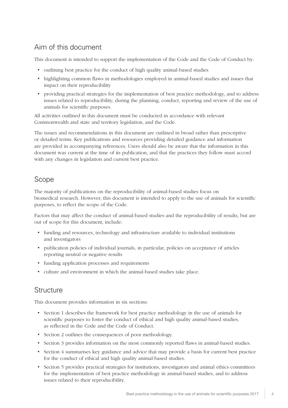## <span id="page-6-0"></span>Aim of this document

This document is intended to support the implementation of the Code and the Code of Conduct by:

- outlining best practice for the conduct of high quality animal-based studies
- highlighting common flaws in methodologies employed in animal-based studies and issues that impact on their reproducibility
- providing practical strategies for the implementation of best practice methodology, and to address issues related to reproducibility, during the planning, conduct, reporting and review of the use of animals for scientific purposes.

All activities outlined in this document must be conducted in accordance with relevant Commonwealth and state and territory legislation, and the Code.

The issues and recommendations in this document are outlined in broad rather than prescriptive or detailed terms. Key publications and resources providing detailed guidance and information are provided in accompanying references. Users should also be aware that the information in this document was current at the time of its publication, and that the practices they follow must accord with any changes in legislation and current best practice.

## Scope

The majority of publications on the reproducibility of animal-based studies focus on biomedical research. However, this document is intended to apply to the use of animals for scientific purposes, to reflect the scope of the Code.

Factors that may affect the conduct of animal-based studies and the reproducibility of results, but are out of scope for this document, include:

- funding and resources, technology and infrastructure available to individual institutions and investigators
- publication policies of individual journals, in particular, policies on acceptance of articles reporting neutral or negative results
- funding application processes and requirements
- culture and environment in which the animal-based studies take place.

## **Structure**

This document provides information in six sections:

- Section 1 describes the framework for best practice methodology in the use of animals for scientific purposes to foster the conduct of ethical and high quality animal-based studies, as reflected in the Code and the Code of Conduct.
- Section 2 outlines the consequences of poor methodology.
- Section 3 provides information on the most commonly reported flaws in animal-based studies.
- Section 4 summarises key guidance and advice that may provide a basis for current best practice for the conduct of ethical and high quality animal-based studies.
- Section 5 provides practical strategies for institutions, investigators and animal ethics committees for the implementation of best practice methodology in animal-based studies, and to address issues related to their reproducibility.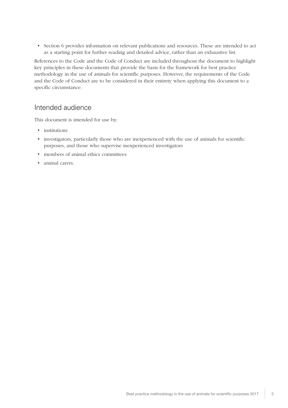<span id="page-7-0"></span>• Section 6 provides information on relevant publications and resources. These are intended to act as a starting point for further reading and detailed advice, rather than an exhaustive list.

References to the Code and the Code of Conduct are included throughout the document to highlight key principles in these documents that provide the basis for the framework for best practice methodology in the use of animals for scientific purposes. However, the requirements of the Code and the Code of Conduct are to be considered in their entirety when applying this document to a specific circumstance.

#### Intended audience

This document is intended for use by:

- institutions
- investigators, particularly those who are inexperienced with the use of animals for scientific purposes, and those who supervise inexperienced investigators
- members of animal ethics committees
- animal carers.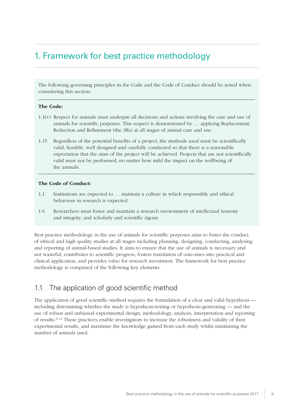# <span id="page-8-0"></span>1. Framework for best practice methodology

The following governing principles in the Code and the Code of Conduct should be noted when considering this section.

#### The Code:

- 1.1(v) Respect for animals must underpin all decisions and actions involving the care and use of animals for scientific purposes. This respect is demonstrated by … applying Replacement, Reduction and Refinement (the 3Rs) at all stages of animal care and use.
- 1.15 Regardless of the potential benefits of a project, the methods used must be scientifically valid, feasible, well designed and carefully conducted so that there is a reasonable expectation that the aims of the project will be achieved. Projects that are not scientifically valid must not be performed, no matter how mild the impact on the wellbeing of the animals.

#### The Code of Conduct:

- 1.1 Institutions are expected to … maintain a culture in which responsible and ethical behaviour in research is expected.
- 1.6 Researchers must foster and maintain a research environment of intellectual honesty and integrity, and scholarly and scientific rigour.

Best practice methodology in the use of animals for scientific purposes aims to foster the conduct of ethical and high quality studies at all stages including planning, designing, conducting, analysing and reporting of animal-based studies. It aims to ensure that the use of animals is necessary and not wasteful, contributes to scientific progress, fosters translation of outcomes into practical and clinical application, and provides value for research investment. The framework for best practice methodology is comprised of the following key elements.

## 1.1 The application of good scientific method

The application of good scientific method requires the formulation of a clear and valid hypothesis including determining whether the study is hypothesis-testing or hypothesis-generating — and the use of robust and unbiased experimental design, methodology, analysis, interpretation and reporting of results.11,12 These practices enable investigators to increase the robustness and validity of their experimental results, and maximise the knowledge gained from each study whilst minimising the number of animals used.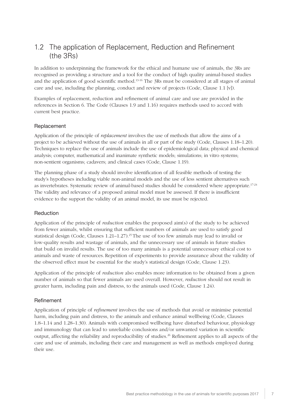## <span id="page-9-0"></span>1.2 The application of Replacement, Reduction and Refinement (the 3Rs)

In addition to underpinning the framework for the ethical and humane use of animals, the 3Rs are recognised as providing a structure and a tool for the conduct of high quality animal-based studies and the application of good scientific method.13-16 The 3Rs must be considered at all stages of animal care and use, including the planning, conduct and review of projects (Code, Clause 1.1 [v]).

Examples of replacement, reduction and refinement of animal care and use are provided in the references in Section 6. The Code (Clauses 1.9 and 1.16) requires methods used to accord with current best practice.

#### Replacement

Application of the principle of *replacement* involves the use of methods that allow the aims of a project to be achieved without the use of animals in all or part of the study (Code, Clauses 1.18–1.20). Techniques to replace the use of animals include the use of epidemiological data; physical and chemical analysis; computer, mathematical and inanimate synthetic models; simulations; in vitro systems; non-sentient organisms; cadavers; and clinical cases (Code, Clause 1.19).

The planning phase of a study should involve identification of all feasible methods of testing the study's hypotheses including viable non-animal models and the use of less sentient alternatives such as invertebrates. Systematic review of animal-based studies should be considered where appropriate.17-24 The validity and relevance of a proposed animal model must be assessed. If there is insufficient evidence to the support the validity of an animal model, its use must be rejected.

#### Reduction

Application of the principle of *reduction* enables the proposed aim(s) of the study to be achieved from fewer animals, whilst ensuring that sufficient numbers of animals are used to satisfy good statistical design (Code, Clauses  $1.21-1.27$ ).<sup>25</sup> The use of too few animals may lead to invalid or low-quality results and wastage of animals, and the unnecessary use of animals in future studies that build on invalid results. The use of too many animals is a potential unnecessary ethical cost to animals and waste of resources. Repetition of experiments to provide assurance about the validity of the observed effect must be essential for the study's statistical design (Code, Clause 1.23).

Application of the principle of *reduction* also enables more information to be obtained from a given number of animals so that fewer animals are used overall. However, *reduction* should not result in greater harm, including pain and distress, to the animals used (Code, Clause 1.24).

#### Refinement

Application of principle of *refinement* involves the use of methods that avoid or minimise potential harm, including pain and distress, to the animals and enhance animal wellbeing (Code, Clauses 1.8–1.14 and 1.28–1.30). Animals with compromised wellbeing have disturbed behaviour, physiology and immunology that can lead to unreliable conclusions and/or unwanted variation in scientific output, affecting the reliability and reproducibility of studies.<sup>26</sup> Refinement applies to all aspects of the care and use of animals, including their care and management as well as methods employed during their use.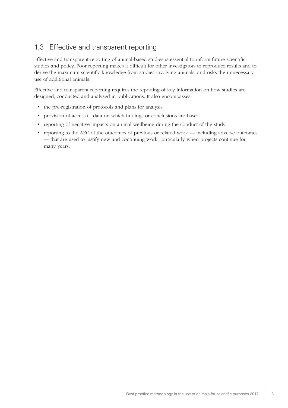## <span id="page-10-0"></span>1.3 Effective and transparent reporting

Effective and transparent reporting of animal-based studies is essential to inform future scientific studies and policy. Poor reporting makes it difficult for other investigators to reproduce results and to derive the maximum scientific knowledge from studies involving animals, and risks the unnecessary use of additional animals.

Effective and transparent reporting requires the reporting of key information on how studies are designed, conducted and analysed in publications. It also encompasses:

- the pre-registration of protocols and plans for analysis
- provision of access to data on which findings or conclusions are based
- reporting of negative impacts on animal wellbeing during the conduct of the study
- reporting to the AEC of the outcomes of previous or related work including adverse outcomes — that are used to justify new and continuing work, particularly when projects continue for many years.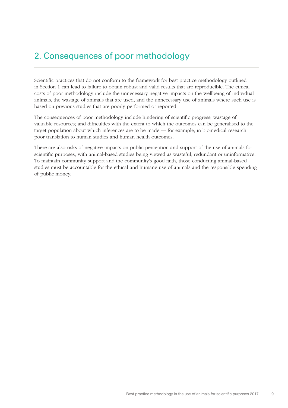# <span id="page-11-0"></span>2. Consequences of poor methodology

Scientific practices that do not conform to the framework for best practice methodology outlined in Section 1 can lead to failure to obtain robust and valid results that are reproducible. The ethical costs of poor methodology include the unnecessary negative impacts on the wellbeing of individual animals, the wastage of animals that are used, and the unnecessary use of animals where such use is based on previous studies that are poorly performed or reported.

The consequences of poor methodology include hindering of scientific progress; wastage of valuable resources; and difficulties with the extent to which the outcomes can be generalised to the target population about which inferences are to be made — for example, in biomedical research, poor translation to human studies and human health outcomes.

There are also risks of negative impacts on public perception and support of the use of animals for scientific purposes, with animal-based studies being viewed as wasteful, redundant or uninformative. To maintain community support and the community's good faith, those conducting animal-based studies must be accountable for the ethical and humane use of animals and the responsible spending of public money.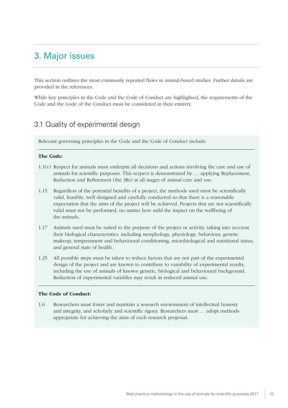# <span id="page-12-0"></span>3. Major issues

This section outlines the most commonly reported flaws in animal-based studies. Further details are provided in the references.

While key principles in the Code and the Code of Conduct are highlighted, the requirements of the Code and the Code of the Conduct must be considered in their entirety.

## 3.1 Quality of experimental design

Relevant governing principles in the Code and the Code of Conduct include:

#### The Code:

- 1.1(v) Respect for animals must underpin all decisions and actions involving the care and use of animals for scientific purposes. This respect is demonstrated by … applying Replacement, Reduction and Refinement (the 3Rs) at all stages of animal care and use.
- 1.15 Regardless of the potential benefits of a project, the methods used must be scientifically valid, feasible, well designed and carefully conducted so that there is a reasonable expectation that the aims of the project will be achieved. Projects that are not scientifically valid must not be performed, no matter how mild the impact on the wellbeing of the animals.
- 1.17 Animals used must be suited to the purpose of the project or activity, taking into account their biological characteristics, including morphology, physiology, behaviour, genetic makeup, temperament and behavioural conditioning, microbiological and nutritional status, and general state of health.
- 1.25 All possible steps must be taken to reduce factors that are not part of the experimental design of the project and are known to contribute to variability of experimental results, including the use of animals of known genetic, biological and behavioural background. Reduction of experimental variables may result in reduced animal use.

#### The Code of Conduct:

1.6 Researchers must foster and maintain a research environment of intellectual honesty and integrity, and scholarly and scientific rigour. Researchers must … adopt methods appropriate for achieving the aims of each research proposal.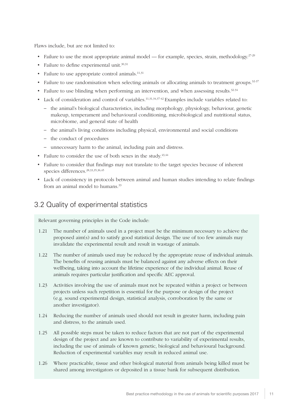<span id="page-13-0"></span>Flaws include, but are not limited to:

- Failure to use the most appropriate animal model for example, species, strain, methodology.<sup>27-29</sup>
- Failure to define experimental unit. $30,31$
- Failure to use appropriate control animals.<sup>11,31</sup>
- Failure to use randomisation when selecting animals or allocating animals to treatment groups. $32-37$
- Failure to use blinding when performing an intervention, and when assessing results.<sup>32-34</sup>
- Lack of consideration and control of variables.<sup>11,31,34,37-42</sup> Examples include variables related to:
	- the animal's biological characteristics, including morphology, physiology, behaviour, genetic makeup, temperament and behavioural conditioning, microbiological and nutritional status, microbiome, and general state of health
	- the animal's living conditions including physical, environmental and social conditions
	- the conduct of procedures
	- unnecessary harm to the animal, including pain and distress.
- Failure to consider the use of both sexes in the study. $43,44$
- Failure to consider that findings may not translate to the target species because of inherent species differences.28,33,35,36,45
- Lack of consistency in protocols between animal and human studies intending to relate findings from an animal model to humans.<sup>33</sup>

## 3.2 Quality of experimental statistics

Relevant governing principles in the Code include:

- 1.21 The number of animals used in a project must be the minimum necessary to achieve the proposed aim(s) and to satisfy good statistical design. The use of too few animals may invalidate the experimental result and result in wastage of animals.
- 1.22 The number of animals used may be reduced by the appropriate reuse of individual animals. The benefits of reusing animals must be balanced against any adverse effects on their wellbeing, taking into account the lifetime experience of the individual animal. Reuse of animals requires particular justification and specific AEC approval.
- 1.23 Activities involving the use of animals must not be repeated within a project or between projects unless such repetition is essential for the purpose or design of the project (e.g. sound experimental design, statistical analysis, corroboration by the same or another investigator).
- 1.24 Reducing the number of animals used should not result in greater harm, including pain and distress, to the animals used.
- 1.25 All possible steps must be taken to reduce factors that are not part of the experimental design of the project and are known to contribute to variability of experimental results, including the use of animals of known genetic, biological and behavioural background. Reduction of experimental variables may result in reduced animal use.
- 1.26 Where practicable, tissue and other biological material from animals being killed must be shared among investigators or deposited in a tissue bank for subsequent distribution.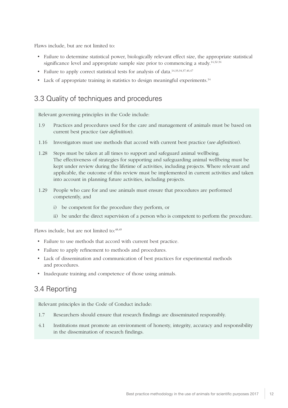<span id="page-14-0"></span>Flaws include, but are not limited to:

- Failure to determine statistical power, biologically relevant effect size, the appropriate statistical significance level and appropriate sample size prior to commencing a study.<sup>14,32-34</sup>
- Failure to apply correct statistical tests for analysis of data.<sup>14,33,34,37,46,47</sup>
- Lack of appropriate training in statistics to design meaningful experiments.<sup>14</sup>

## 3.3 Quality of techniques and procedures

Relevant governing principles in the Code include:

- 1.9 Practices and procedures used for the care and management of animals must be based on current best practice (*see definition*).
- 1.16 Investigators must use methods that accord with current best practice (*see definition*).
- 1.28 Steps must be taken at all times to support and safeguard animal wellbeing. The effectiveness of strategies for supporting and safeguarding animal wellbeing must be kept under review during the lifetime of activities, including projects. Where relevant and applicable, the outcome of this review must be implemented in current activities and taken into account in planning future activities, including projects.
- 1.29 People who care for and use animals must ensure that procedures are performed competently, and
	- i) be competent for the procedure they perform, or
	- ii) be under the direct supervision of a person who is competent to perform the procedure.

Flaws include, but are not limited to:  $48,49$ 

- Failure to use methods that accord with current best practice.
- Failure to apply refinement to methods and procedures.
- Lack of dissemination and communication of best practices for experimental methods and procedures.
- Inadequate training and competence of those using animals.

## 3.4 Reporting

Relevant principles in the Code of Conduct include:

- 1.7 Researchers should ensure that research findings are disseminated responsibly.
- 4.1 Institutions must promote an environment of honesty, integrity, accuracy and responsibility in the dissemination of research findings.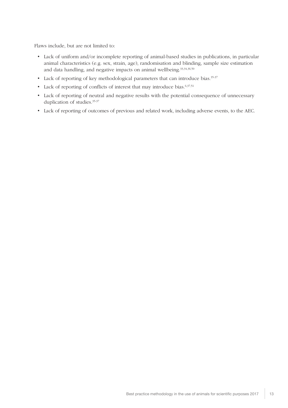Flaws include, but are not limited to:

- Lack of uniform and/or incomplete reporting of animal-based studies in publications, in particular animal characteristics (e.g. sex, strain, age), randomisation and blinding, sample size estimation and data handling, and negative impacts on animal wellbeing.<sup>33,34,36,50</sup>
- Lack of reporting of key methodological parameters that can introduce bias.<sup>35-37</sup>
- Lack of reporting of conflicts of interest that may introduce bias.<sup>6,37,51</sup>
- Lack of reporting of neutral and negative results with the potential consequence of unnecessary duplication of studies.<sup>35-37</sup>
- Lack of reporting of outcomes of previous and related work, including adverse events, to the AEC.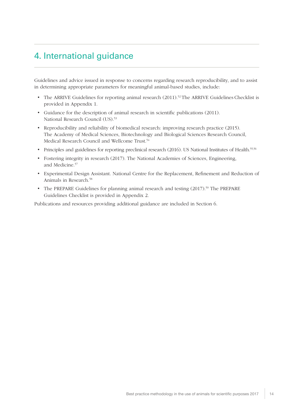# <span id="page-16-0"></span>4. International guidance

Guidelines and advice issued in response to concerns regarding research reproducibility, and to assist in determining appropriate parameters for meaningful animal-based studies, include:

- The ARRIVE Guidelines for reporting animal research  $(2011).$ <sup>52</sup> The ARRIVE Guidelines Checklist is provided in Appendix 1.
- Guidance for the description of animal research in scientific publications (2011). National Research Council (US).<sup>53</sup>
- Reproducibility and reliability of biomedical research: improving research practice (2015). The Academy of Medical Sciences, Biotechnology and Biological Sciences Research Council, Medical Research Council and Wellcome Trust.<sup>54</sup>
- Principles and guidelines for reporting preclinical research (2016). US National Institutes of Health.<sup>55,56</sup>
- Fostering integrity in research (2017). The National Academies of Sciences, Engineering, and Medicine.<sup>57</sup>
- Experimental Design Assistant. National Centre for the Replacement, Refinement and Reduction of Animals in Research.<sup>58</sup>
- The PREPARE Guidelines for planning animal research and testing (2017).<sup>59</sup> The PREPARE Guidelines Checklist is provided in Appendix 2.

Publications and resources providing additional guidance are included in Section 6.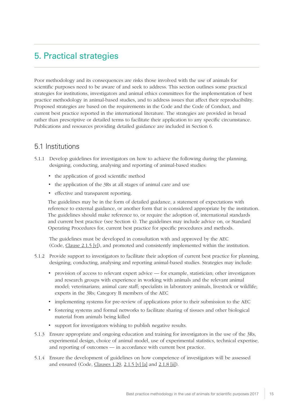# <span id="page-17-0"></span>5. Practical strategies

Poor methodology and its consequences are risks those involved with the use of animals for scientific purposes need to be aware of and seek to address. This section outlines some practical strategies for institutions, investigators and animal ethics committees for the implementation of best practice methodology in animal-based studies, and to address issues that affect their reproducibility. Proposed strategies are based on the requirements in the Code and the Code of Conduct, and current best practice reported in the international literature. The strategies are provided in broad rather than prescriptive or detailed terms to facilitate their application to any specific circumstance. Publications and resources providing detailed guidance are included in Section 6.

## 5.1 Institutions

- 5.1.1 Develop guidelines for investigators on how to achieve the following during the planning, designing, conducting, analysing and reporting of animal-based studies:
	- the application of good scientific method
	- the application of the 3Rs at all stages of animal care and use
	- effective and transparent reporting.

The guidelines may be in the form of detailed guidance, a statement of expectations with reference to external guidance, or another form that is considered appropriate by the institution. The guidelines should make reference to, or require the adoption of, international standards and current best practice (see Section 4). The guidelines may include advice on, or Standard Operating Procedures for, current best practice for specific procedures and methods.

The guidelines must be developed in consultation with and approved by the AEC (Code, [Clause 2.1.5 \[v\]](https://www.nhmrc.gov.au/book/australian-code-practice-care-and-use-animals-scientific-purposes/2-1-responsibilities#2.1.5)), and promoted and consistently implemented within the institution.

- 5.1.2 Provide support to investigators to facilitate their adoption of current best practice for planning, designing, conducting, analysing and reporting animal-based studies. Strategies may include:
	- provision of access to relevant expert advice for example, statistician; other investigators and research groups with experience in working with animals and the relevant animal model; veterinarians; animal care staff; specialists in laboratory animals, livestock or wildlife; experts in the 3Rs; Category B members of the AEC
	- implementing systems for pre-review of applications prior to their submission to the AEC
	- fostering systems and formal networks to facilitate sharing of tissues and other biological material from animals being killed
	- support for investigators wishing to publish negative results.
- 5.1.3 Ensure appropriate and ongoing education and training for investigators in the use of the 3Rs, experimental design, choice of animal model, use of experimental statistics, technical expertise, and reporting of outcomes — in accordance with current best practice.
- 5.1.4 Ensure the development of guidelines on how competence of investigators will be assessed and ensured (Code, [Clauses 1.29](https://www.nhmrc.gov.au/book/australian-code-practice-care-and-use-animals-scientific-purposes/section-1-governing#1.18), [2.1.5 \[v\] \[a\]](https://www.nhmrc.gov.au/book/australian-code-practice-care-and-use-animals-scientific-purposes/2-1-responsibilities#2.1.5) and [2.1.8 \[ii\]](https://www.nhmrc.gov.au/book/australian-code-practice-care-and-use-animals-scientific-purposes/2-1-responsibilities#2.1.8)).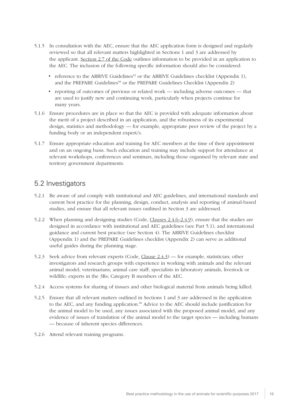- <span id="page-18-0"></span>5.1.5 In consultation with the AEC, ensure that the AEC application form is designed and regularly reviewed so that all relevant matters highlighted in Sections 1 and 3 are addressed by the applicant. [Section 2.7 of the Code](https://www.nhmrc.gov.au/book/australian-code-practice-care-and-use-animals-scientific-purposes/2-7-responsibilities) outlines information to be provided in an application to the AEC. The inclusion of the following specific information should also be considered:
	- reference to the ARRIVE Guidelines<sup>52</sup> or the ARRIVE Guidelines checklist (Appendix 1). and the PREPARE Guidelines<sup>59</sup> or the PREPARE Guidelines Checklist (Appendix 2)
	- reporting of outcomes of previous or related work including adverse outcomes that are used to justify new and continuing work, particularly when projects continue for many years.
- 5.1.6 Ensure procedures are in place so that the AEC is provided with adequate information about the merit of a project described in an application, and the robustness of its experimental design, statistics and methodology — for example, appropriate peer review of the project by a funding body or an independent expert/s.
- 5.1.7 Ensure appropriate education and training for AEC members at the time of their appointment and on an ongoing basis. Such education and training may include support for attendance at relevant workshops, conferences and seminars, including those organised by relevant state and territory government departments.

#### 5.2 Investigators

- 5.2.1 Be aware of and comply with institutional and AEC guidelines, and international standards and current best practice for the planning, design, conduct, analysis and reporting of animal-based studies, and ensure that all relevant issues outlined in Section 3 are addressed.
- 5.2.2 When planning and designing studies (Code, [Clauses 2.4.6–2.4.9\)](https://www.nhmrc.gov.au/book/australian-code-practice-care-and-use-animals-scientific-purposes/2-4-responsibilities#2.4.5), ensure that the studies are designed in accordance with institutional and AEC guidelines (see Part 5.1), and international guidance and current best practice (see Section 4). The ARRIVE Guidelines checklist (Appendix 1) and the PREPARE Guidelines checklist (Appendix 2) can serve as additional useful guides during the planning stage.
- 5.2.3 Seek advice from relevant experts (Code, [Clause 2.4.3](https://www.nhmrc.gov.au/book/australian-code-practice-care-and-use-animals-scientific-purposes-8th-edition-2013/2-3#2.3.4)) for example, statistician; other investigators and research groups with experience in working with animals and the relevant animal model; veterinarians; animal care staff; specialists in laboratory animals, livestock or wildlife; experts in the 3Rs; Category B members of the AEC.
- 5.2.4 Access systems for sharing of tissues and other biological material from animals being killed.
- 5.2.5 Ensure that all relevant matters outlined in Sections 1 and 3 are addressed in the application to the AEC, and any funding application.<sup>60</sup> Advice to the AEC should include justification for the animal model to be used, any issues associated with the proposed animal model, and any evidence of issues of translation of the animal model to the target species — including humans — because of inherent species differences.
- 5.2.6 Attend relevant training programs.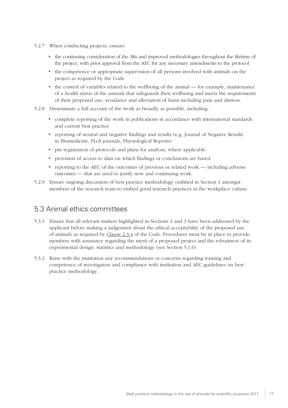- <span id="page-19-0"></span>5.2.7 When conducting projects, ensure:
	- the continuing consideration of the 3Rs and improved methodologies throughout the lifetime of the project, with prior approval from the AEC for any necessary amendments to the protocol
	- the competence or appropriate supervision of all persons involved with animals on the project as required by the Code
	- the control of variables related to the wellbeing of the animal for example, maintenance of a health status of the animals that safeguards their wellbeing and meets the requirements of their proposed use; avoidance and alleviation of harm including pain and distress.
- 5.2.8 Disseminate a full account of the work as broadly as possible, including:
	- complete reporting of the work in publications in accordance with international standards and current best practice
	- reporting of neutral and negative findings and results (e.g. Journal of Negative Results in Biomedicine, PLoS journals, Physiological Reports)
	- pre-registration of protocols and plans for analysis, where applicable
	- provision of access to data on which findings or conclusions are based
	- reporting to the AEC of the outcomes of previous or related work including adverse outcomes — that are used to justify new and continuing work.
- 5.2.9 Ensure ongoing discussion of best practice methodology outlined in Section 1 amongst members of the research team to embed good research practices in the workplace culture.

#### 5.3 Animal ethics committees

- 5.3.1 Ensure that all relevant matters highlighted in Sections 1 and 3 have been addressed by the applicant before making a judgement about the ethical acceptability of the proposed use of animals as required by [Clause 2.3.4](https://www.nhmrc.gov.au/book/australian-code-practice-care-and-use-animals-scientific-purposes-8th-edition-2013/2-3#2.3.4) of the Code. Procedures must be in place to provide members with assurance regarding the merit of a proposed project and the robustness of its experimental design, statistics and methodology (see Section 5.1.6).
- 5.3.2 Raise with the institution any recommendations or concerns regarding training and competence of investigators and compliance with institution and AEC guidelines on best practice methodology.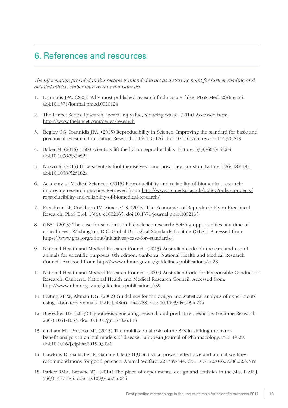# <span id="page-20-0"></span>6. References and resources

*The information provided in this section is intended to act as a starting point for further reading and detailed advice, rather than as an exhaustive list.*

- 1. Ioannidis JPA. (2005) Why most published research findings are false. PLoS Med. 2(8): e124. doi:10.1371/journal.pmed.0020124
- 2. The Lancet Series. Research: increasing value, reducing waste. (2014) Accessed from: <http://www.thelancet.com/series/research>
- 3. Begley CG, Ioannidis JPA. (2015) Reproducibility in Science: Improving the standard for basic and preclinical research. Circulation Research. 116: 116-126. doi: 10.1161/circresaha.114.303819
- 4. Baker M. (2016) 1,500 scientists lift the lid on reproducibility. Nature. 533(7604): 452-4. doi:10.1038/533452a
- 5. Nuzzo R. (2015) How scientists fool themselves and how they can stop. Nature. 526: 182-185. doi:10.1038/526182a
- 6. Academy of Medical Sciences. (2015) Reproducibility and reliability of biomedical research: improving research practice. Retrieved from: [http://www.acmedsci.ac.uk/policy/policy-projects/](http://www.acmedsci.ac.uk/policy/policy-projects/reproducibility-and-reliability-of-biomedical-research/) [reproducibility-and-reliability-of-biomedical-research/](http://www.acmedsci.ac.uk/policy/policy-projects/reproducibility-and-reliability-of-biomedical-research/)
- 7. Freedman LP, Cockburn IM, Simcoe TS. (2015) The Economics of Reproducibility in Preclinical Research. PLoS Biol. 13(6): e1002165. doi:10.1371/journal.pbio.1002165
- 8. GBSI. (2013) The case for standards in life science research: Seizing opportunities at a time of critical need. Washington, D.C. Global Biological Standards Institute (GBSI). Accessed from: [https://www.gbsi.org/about/initiatives/-case-for--standards/](https://www.gbsi.org/publication/the-case-for-biological-standards/)
- 9. National Health and Medical Research Council. (2013) Australian code for the care and use of animals for scientific purposes, 8th edition. Canberra: National Health and Medical Research Council. Accessed from: <http://www.nhmrc.gov.au/guidelines-publications/ea28>
- 10. National Health and Medical Research Council. (2007) Australian Code for Responsible Conduct of Research. Canberra: National Health and Medical Research Council. Accessed from: <http://www.nhmrc.gov.au/guidelines-publications/r39>
- 11. Festing MFW, Altman DG. (2002) Guidelines for the design and statistical analysis of experiments using laboratory animals. ILAR J. 43(4): 244-258. doi: 10.1093/ilar.43.4.244
- 12. Biesecker LG. (2013) Hypothesis-generating research and predictive medicine. Genome Research. 23(7):1051-1053. doi:10.1101/gr.157826.113
- 13. Graham ML, Prescott MJ. (2015) The multifactorial role of the 3Rs in shifting the harmbenefit analysis in animal models of disease. European Journal of Pharmacology. 759: 19-29. doi:10.1016/j.ejphar.2015.03.040
- 14. Hawkins D, Gallacher E, Gammell, M.(2013) Statistical power, effect size and animal welfare: recommendations for good practice. Animal Welfare. 22: 339-344. doi: 10.7120/09627286.22.3.339
- 15. Parker RMA, Browne WJ. (2014) The place of experimental design and statistics in the 3Rs. ILAR J. 55(3): 477-485. doi: 10.1093/ilar/ilu044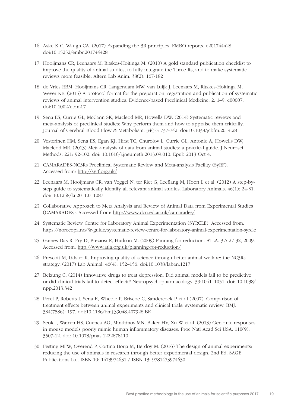- 16. Aske K C, Waugh CA. (2017) Expanding the 3R principles. EMBO reports. e201744428. doi:10.15252/embr.201744428
- 17. Hooijmans CR, Leenaars M, Ritskes-Hoitinga M. (2010) A gold standard publication checklist to improve the quality of animal studies, to fully integrate the Three Rs, and to make systematic reviews more feasible. Altern Lab Anim. 38(2): 167-182
- 18. de Vries RBM, Hooijmans CR, Langendam MW, van Luijk J, Leenaars M, Ritskes-Hoitinga M, Wever KE. (2015) A protocol format for the preparation, registration and publication of systematic reviews of animal intervention studies. Evidence-based Preclinical Medicine. 2: 1–9, e00007. doi:10.1002/ebm2.7
- 19. Sena ES, Currie GL, McCann SK, Macleod MR, Howells DW. (2014) Systematic reviews and meta-analysis of preclinical studies: Why perform them and how to appraise them critically. Journal of Cerebral Blood Flow & Metabolism. 34(5): 737-742. doi:10.1038/jcbfm.2014.28
- 20. Vesterinen HM, Sena ES, Egan KJ, Hirst TC, Churolov L, Currie GL, Antonic A, Howells DW, Macleod MR. (2013) Meta-analysis of data from animal studies: a practical guide. J Neurosci Methods. 221: 92-102. doi: 10.1016/j.jneumeth.2013.09.010. Epub 2013 Oct 4.
- 21. CAMARADES-NC3Rs Preclinical Systematic Review and Meta-analysis Facility (SyRF). Accessed from: <http://syrf.org.uk/>
- 22. Leenaars M, Hooijmans CR, van Veggel N, ter Riet G, Leeflang M, Hooft L et al. (2012) A step-bystep guide to systematically identify all relevant animal studies. Laboratory Animals. 46(1): 24-31. doi: 10.1258/la.2011.011087
- 23. Collaborative Approach to Meta Analysis and Review of Animal Data from Experimental Studies (CAMARADES). Accessed from: <http://www.dcn.ed.ac.uk/camarades/>
- 24. Systematic Review Centre for Laboratory Animal Experimentation (SYRCLE). Accessed from: <https://norecopa.no/3r-guide/systematic-review-centre-for-laboratory-animal-experimentation-syrcle>
- 25. Gaines Das R, Fry D, Preziosi R, Hudson M. (2009) Panning for reduction. ATLA. 37: 27-32, 2009. Accessed from: <http://www.atla.org.uk/planning-for-reduction/>
- 26. Prescott M, Lidster K. Improving quality of science through better animal welfare: the NC3Rs strategy. (2017) Lab Animal. 46(4): 152–156. doi:10.1038/laban.1217
- 27. Belzung C. (2014) Innovative drugs to treat depression: Did animal models fail to be predictive or did clinical trials fail to detect effects? Neuropsychopharmacology. 39:1041–1051. doi: 10.1038/ npp.2013.342
- 28. Perel P, Roberts I, Sena E, Wheble P, Briscoe C, Sandercock P et al (2007). Comparison of treatment effects between animal experiments and clinical trials: systematic review. BMJ. 334(7586): 197. doi:10.1136/bmj.39048.407928.BE
- 29. Seok J, Warren HS, Cuenca AG, Mindrinos MN, Baker HV, Xu W et al. (2013) Genomic responses in mouse models poorly mimic human inflammatory diseases. Proc Natl Acad Sci USA. 110(9): 3507-12. doi: 10.1073/pnas.1222878110
- 30. Festing MFW, Overend P, Cortina Borja M, Berdoy M. (2016) The design of animal experiments: reducing the use of animals in research through better experimental design. 2nd Ed. SAGE Publications Ltd. ISBN 10: 1473974631 / ISBN 13: 9781473974630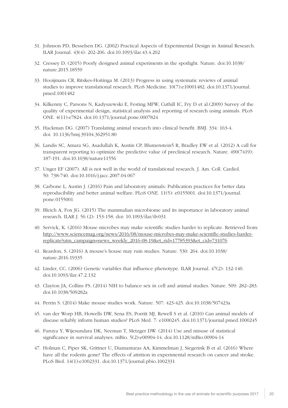- 31. Johnson PD, Besselsen DG. (2002) Practical Aspects of Experimental Design in Animal Research. ILAR Journal. 43(4): 202-206. doi:10.1093/ilar.43.4.202
- 32. Cressey D. (2015) Poorly designed animal experiments in the spotlight. Nature. doi:10.1038/ nature.2015.18559
- 33. Hooijmans CR, Ritskes-Hoitinga M. (2013) Progress in using systematic reviews of animal studies to improve translational research. PLoS Medicine. 10(7):e10001482. doi:10.1371/journal. pmed.1001482
- 34. Kilkenny C, Parsons N, Kadyszewski E, Festing MFW, Cuthill IC, Fry D et al.(2009) Survey of the quality of experimental design, statistical analysis and reporting of research using animals. PLoS ONE. 4(11):e7824. doi:10.1371/journal.pone.0007824
- 35. Hackman DG. (2007) Translating animal research into clinical benefit. BMJ. 334: 163-4. doi: 10.1136/bmj.39104.362951.80
- 36. Landis SC, Amara SG, Asadullah K, Austin CP, Blumenstein5 R, Bradley EW et al. (2012) A call for transparent reporting to optimize the predictive value of preclinical research. Nature. 490(7419): 187-191. doi:10.1038/nature11556
- 37. Unger EF (2007). All is not well in the world of translational research. J. Am. Coll. Cardiol. 50: 738-740. doi:10.1016/j.jacc.2007.04.067
- 38. Carbone L, Austin J. (2016) Pain and laboratory animals: Publication practices for better data reproducibility and better animal welfare. PLoS ONE. 11(5): e0155001. doi:10.1371/journal. pone.0155001
- 39. Bleich A, Fox JG. (2015) The mammalian microbiome and its importance in laboratory animal research. ILAR J. 56 (2): 153-158. doi: 10.1093/ilar/ilv031
- 40. Servick, K. (2016) Mouse microbes may make scientific studies harder to replicate. Retrieved from: [http://www.sciencemag.org/news/2016/08/mouse-microbes-may-make-scientific-studies-harder](http://www.sciencemag.org/news/2016/08/mouse-microbes-may-make-scientific-studies-harder-replicate?utm_campaign=news_weekly_2016-08-19&et_rid=17785393&et_cid=731076)[replicate?utm\\_campaign=news\\_weekly\\_2016-08-19&et\\_rid=17785393&et\\_cid=731076](http://www.sciencemag.org/news/2016/08/mouse-microbes-may-make-scientific-studies-harder-replicate?utm_campaign=news_weekly_2016-08-19&et_rid=17785393&et_cid=731076)
- 41. Reardon, S. (2016) A mouse's house may ruin studies. Nature. 530: 264. doi:10.1038/ nature.2016.19335
- 42. Linder, CC. (2006) Genetic variables that influence phenotype. ILAR Journal. 47(2): 132-140. doi:10.1093/ilar.47.2.132
- 43. Clayton JA, Collins FS. (2014) NIH to balance sex in cell and animal studies. Nature. 509: 282–283. doi:10.1038/509282a
- 44. Perrin S. (2014) Make mouse studies work. Nature. 507: 423-425. doi:10.1038/507423a
- 45. van der Worp HB, Howells DW, Sena ES, Porritt MJ, Rewell S et al. (2010) Can animal models of disease reliably inform human studies? PLoS Med. 7: e1000245. doi:10.1371/journal.pmed.1000245
- 46. Furuya Y, Wijesundara DK, Neeman T, Metzger DW. (2014) Use and misuse of statistical significance in survival analyses. mBio. 5(2):e00904-14. doi:10.1128/mBio.00904-14
- 47. Holman C, Piper SK, Grittner U, Diamantaras AA, Kimmelman J, Siegerink B et al. (2016) Where have all the rodents gone? The effects of attrition in experimental research on cancer and stroke. PLoS Biol. 14(1):e1002331. doi:10.1371/journal.pbio.1002331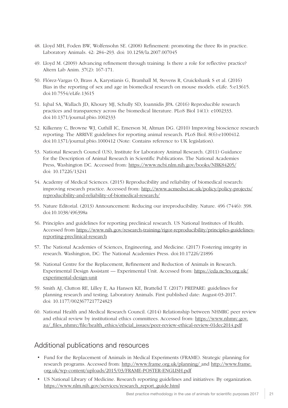- <span id="page-23-0"></span>48. Lloyd MH, Foden BW, Wolfensohn SE. (2008) Refinement: promoting the three Rs in practice. Laboratory Animals. 42: 284–293. doi: 10.1258/la.2007.007045
- 49. Lloyd M. (2009) Advancing refinement through training: Is there a role for reflective practice? Altern Lab Anim. 37(2): 167-171.
- 50. Flórez-Vargas O, Brass A, Karystianis G, Bramhall M, Stevens R, Cruickshank S et al. (2016) Bias in the reporting of sex and age in biomedical research on mouse models. eLife. 5:e13615. doi:10.7554/eLife.13615
- 51. Iqbal SA, Wallach JD, Khoury MJ, Schully SD, Ioannidis JPA. (2016) Reproducible research practices and transparency across the biomedical literature. PLoS Biol 14(1): e1002333. doi:10.1371/journal.pbio.1002333
- 52. Kilkenny C, Browne WJ, Cuthill IC, Emerson M, Altman DG. (2010) Improving bioscience research reporting: The ARRIVE guidelines for reporting animal research. PLoS Biol. 8(6):e1000412. doi:10.1371/journal.pbio.1000412 (Note: Contains reference to UK legislation).
- 53. National Research Council (US), Institute for Laboratory Animal Research. (2011) Guidance for the Description of Animal Research in Scientific Publications. The National Academies Press, Washington DC. Accessed from: <https://www.ncbi.nlm.nih.gov/books/NBK84205/> doi: 10.17226/13241
- 54. Academy of Medical Sciences. (2015) Reproducibility and reliability of biomedical research: improving research practice. Accessed from: [http://www.acmedsci.ac.uk/policy/policy-projects/](http://www.acmedsci.ac.uk/policy/policy-projects/reproducibility-and-reliability-of-biomedical-research/) [reproducibility-and-reliability-of-biomedical-research/](http://www.acmedsci.ac.uk/policy/policy-projects/reproducibility-and-reliability-of-biomedical-research/)
- 55. Nature Editorial. (2013) Announcement: Reducing our irreproducibility. Nature. 496 (7446): 398. doi:10.1038/496398a
- 56. Principles and guidelines for reporting preclinical research. US National Institutes of Health. Accessed from [https://www.nih.gov/research-training/rigor-reproducibility/principles-guidelines](https://www.nih.gov/research-training/rigor-reproducibility/principles-guidelines-reporting-preclinical-research)[reporting-preclinical-research](https://www.nih.gov/research-training/rigor-reproducibility/principles-guidelines-reporting-preclinical-research)
- 57. The National Academies of Sciences, Engineering, and Medicine. (2017) Fostering integrity in research. Washington, DC: The National Academies Press. doi:10.17226/21896
- 58. National Centre for the Replacement, Refinement and Reduction of Animals in Research. Experimental Design Assistant — Experimental Unit. Accessed from: [https://eda.nc3rs.org.uk/](https://eda.nc3rs.org.uk/experimental-design-unit) [experimental-design-unit](https://eda.nc3rs.org.uk/experimental-design-unit)
- 59. Smith AJ, Clutton RE, Lilley E, Aa Hansen KE, Brattelid T. (2017) PREPARE: guidelines for planning research and testing. Laboratory Animals. First published date: August-03-2017. doi: 10.1177/0023677217724823
- 60. National Health and Medical Research Council. (2014) Relationship between NHMRC peer review and ethical review by institutional ethics committees. Accessed from: [https://www.nhmrc.gov.](https://www.nhmrc.gov.au/_files_nhmrc/file/health_ethics/ethcial_issues/peer-review-ethical-review-01dec2014.pdf) [au/\\_files\\_nhmrc/file/health\\_ethics/ethcial\\_issues/peer-review-ethical-review-01dec2014.pdf](https://www.nhmrc.gov.au/_files_nhmrc/file/health_ethics/ethcial_issues/peer-review-ethical-review-01dec2014.pdf)

## Additional publications and resources

- Fund for the Replacement of Animals in Medical Experiments (FRAME). Strategic planning for research programs. Accessed from: <http://www.frame.org.uk/planning/> and [http://www.frame.](http://www.frame.org.uk/wp-content/uploads/2015/03/FRAME-POSTER-ENGLISH.pdf) [org.uk/wp-content/uploads/2015/03/FRAME-POSTER-ENGLISH.pdf](http://www.frame.org.uk/wp-content/uploads/2015/03/FRAME-POSTER-ENGLISH.pdf)
- US National Library of Medicine. Research reporting guidelines and initiatives: By organization. [https://www.nlm.nih.gov/services/research\\_report\\_guide.html](https://www.nlm.nih.gov/services/research_report_guide.html)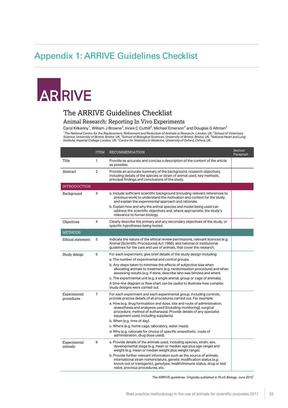# <span id="page-24-0"></span>Appendix 1: ARRIVE Guidelines Checklist

# ARRIVE

## The ARRIVE Guidelines Checklist

#### Animal Research: Reporting In Vivo Experiments

Carol Kilkenny<sup>1</sup>, William J Browne<sup>2</sup>, Innes C Cuthill<sup>3</sup>, Michael Emerson<sup>4</sup> and Douglas G Altman<sup>5</sup> <sup>1</sup>The National Centre for the Replacement, Refinement and Reduction of Animals in Research, London, UK, <sup>2</sup>School of Veterinary<br>Science, University of Bristol, Bristol, UK, <sup>3</sup>School of Biological Sciences, University of

|                            | <b>ITEM</b>    | <b>RECOMMENDATION</b>                                                                                                                                                                                                                                         | Section/<br>Paragraph |
|----------------------------|----------------|---------------------------------------------------------------------------------------------------------------------------------------------------------------------------------------------------------------------------------------------------------------|-----------------------|
| Title                      | 1              | Provide as accurate and concise a description of the content of the article<br>as possible.                                                                                                                                                                   |                       |
| Abstract                   | $\overline{2}$ | Provide an accurate summary of the background, research objectives,<br>including details of the species or strain of animal used, key methods,<br>principal findings and conclusions of the study.                                                            |                       |
| <b>INTRODUCTION</b>        |                |                                                                                                                                                                                                                                                               |                       |
| Background                 | 3              | a. Include sufficient scientific background (including relevant references to<br>previous work) to understand the motivation and context for the study,<br>and explain the experimental approach and rationale.                                               |                       |
|                            |                | b. Explain how and why the animal species and model being used can<br>address the scientific objectives and, where appropriate, the study's<br>relevance to human biology.                                                                                    |                       |
| Objectives                 | 4              | Clearly describe the primary and any secondary objectives of the study, or<br>specific hypotheses being tested.                                                                                                                                               |                       |
| <b>METHODS</b>             |                |                                                                                                                                                                                                                                                               |                       |
| Ethical statement          | 5              | Indicate the nature of the ethical review permissions, relevant licences (e.g.<br>Animal [Scientific Procedures] Act 1986), and national or institutional<br>quidelines for the care and use of animals, that cover the research.                             |                       |
| Study design               | 6              | For each experiment, give brief details of the study design including:                                                                                                                                                                                        |                       |
|                            |                | a. The number of experimental and control groups.                                                                                                                                                                                                             |                       |
|                            |                | b. Any steps taken to minimise the effects of subjective bias when<br>allocating animals to treatment (e.g. randomisation procedure) and when<br>assessing results (e.g. if done, describe who was blinded and when).                                         |                       |
|                            |                | c. The experimental unit (e.g. a single animal, group or cage of animals).                                                                                                                                                                                    |                       |
|                            |                | A time-line diagram or flow chart can be useful to illustrate how complex<br>study designs were carried out.                                                                                                                                                  |                       |
| Experimental<br>procedures | $\overline{7}$ | For each experiment and each experimental group, including controls,<br>provide precise details of all procedures carried out. For example:                                                                                                                   |                       |
|                            |                | a. How (e.g. drug formulation and dose, site and route of administration,<br>anaesthesia and analgesia used [including monitoring], surgical<br>procedure, method of euthanasia). Provide details of any specialist<br>equipment used, including supplier(s). |                       |
|                            |                | b. When (e.g. time of day).                                                                                                                                                                                                                                   |                       |
|                            |                | c. Where (e.g. home cage, laboratory, water maze).                                                                                                                                                                                                            |                       |
|                            |                | d. Why (e.g. rationale for choice of specific anaesthetic, route of<br>administration, drug dose used).                                                                                                                                                       |                       |
| Experimental<br>animals    | 8              | a. Provide details of the animals used, including species, strain, sex,<br>developmental stage (e.g. mean or median age plus age range) and<br>weight (e.g. mean or median weight plus weight range).                                                         |                       |
|                            |                | b. Provide further relevant information such as the source of animals,<br>international strain nomenclature, genetic modification status (e.g.<br>knock-out or transgenic), genotype, health/immune status, drug or test<br>naïve, previous procedures, etc.  |                       |

The ARRIVE guidelines. Originally published in *PLoS Biology*, June 20101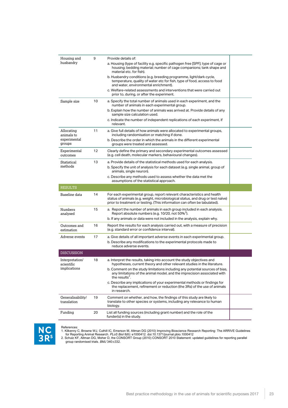| Housing and<br>husbandry         | 9  | Provide details of:                                                                                                                                                                                                                     |  |
|----------------------------------|----|-----------------------------------------------------------------------------------------------------------------------------------------------------------------------------------------------------------------------------------------|--|
|                                  |    | a. Housing (type of facility e.g. specific pathogen free [SPF]; type of cage or<br>housing; bedding material; number of cage companions; tank shape and<br>material etc. for fish).                                                     |  |
|                                  |    | b. Husbandry conditions (e.g. breeding programme, light/dark cycle,<br>temperature, quality of water etc for fish, type of food, access to food<br>and water, environmental enrichment).                                                |  |
|                                  |    | c. Welfare-related assessments and interventions that were carried out<br>prior to, during, or after the experiment.                                                                                                                    |  |
| Sample size                      | 10 | a. Specify the total number of animals used in each experiment, and the<br>number of animals in each experimental group.                                                                                                                |  |
|                                  |    | b. Explain how the number of animals was arrived at. Provide details of any<br>sample size calculation used.                                                                                                                            |  |
|                                  |    | c. Indicate the number of independent replications of each experiment, if<br>relevant.                                                                                                                                                  |  |
| Allocating<br>animals to         | 11 | a. Give full details of how animals were allocated to experimental groups,<br>including randomisation or matching if done.                                                                                                              |  |
| experimental<br>groups           |    | b. Describe the order in which the animals in the different experimental<br>groups were treated and assessed.                                                                                                                           |  |
| Experimental<br>outcomes         | 12 | Clearly define the primary and secondary experimental outcomes assessed<br>(e.g. cell death, molecular markers, behavioural changes).                                                                                                   |  |
| Statistical                      | 13 | a. Provide details of the statistical methods used for each analysis.                                                                                                                                                                   |  |
| methods                          |    | b. Specify the unit of analysis for each dataset (e.g. single animal, group of<br>animals, single neuron).                                                                                                                              |  |
|                                  |    | c. Describe any methods used to assess whether the data met the<br>assumptions of the statistical approach.                                                                                                                             |  |
| <b>RESULTS</b>                   |    |                                                                                                                                                                                                                                         |  |
| Baseline data                    | 14 | For each experimental group, report relevant characteristics and health<br>status of animals (e.g. weight, microbiological status, and drug or test naïve)<br>prior to treatment or testing. (This information can often be tabulated). |  |
| Numbers<br>analysed              | 15 | a. Report the number of animals in each group included in each analysis.<br>Report absolute numbers (e.g. 10/20, not 50% <sup>2</sup> ).                                                                                                |  |
|                                  |    | b. If any animals or data were not included in the analysis, explain why.                                                                                                                                                               |  |
| Outcomes and<br>estimation       | 16 | Report the results for each analysis carried out, with a measure of precision<br>(e.g. standard error or confidence interval).                                                                                                          |  |
| Adverse events                   | 17 | a. Give details of all important adverse events in each experimental group.                                                                                                                                                             |  |
|                                  |    | b. Describe any modifications to the experimental protocols made to<br>reduce adverse events.                                                                                                                                           |  |
| <b>DISCUSSION</b>                |    |                                                                                                                                                                                                                                         |  |
| Interpretation/<br>scientific    | 18 | a. Interpret the results, taking into account the study objectives and<br>hypotheses, current theory and other relevant studies in the literature.                                                                                      |  |
| implications                     |    | b. Comment on the study limitations including any potential sources of bias,<br>any limitations of the animal model, and the imprecision associated with<br>the results <sup>2</sup> .                                                  |  |
|                                  |    | c. Describe any implications of your experimental methods or findings for<br>the replacement, refinement or reduction (the 3Rs) of the use of animals<br>in research.                                                                   |  |
| Generalisability/<br>translation | 19 | Comment on whether, and how, the findings of this study are likely to<br>translate to other species or systems, including any relevance to human<br>biology.                                                                            |  |
| Funding                          | 20 | List all funding sources (including grant number) and the role of the<br>funder(s) in the study.                                                                                                                                        |  |



References:<br>1. Kilkenny C, Browne WJ, Cuthill IC, Emerson M, Altman DG (2010) Improving Bioscience Research Reporting: The ARRIVE Guidelines<br>for Reporting Animal Research. *PLoS Biol* 8(6): e1000412. doi:10.1371/journal.pb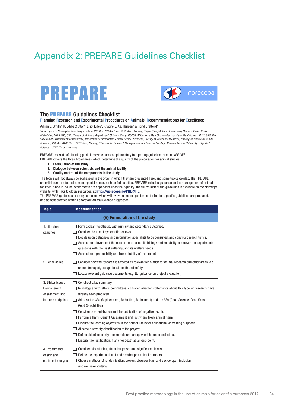# <span id="page-26-0"></span>Appendix 2: PREPARE Guidelines Checklist





#### **The** PREPARE **Guidelines Checklist**

#### **Planning Research and Experimental Procedures on Animals: Recommendations for Excellence**

Adrian J. Smith<sup>a</sup>, R. Eddie Clutton<sup>b</sup>, Elliot Lilley<sup>c</sup>, Kristine E. Aa. Hansen<sup>d</sup> & Trond Brattelid<sup>e</sup>

*a Norecopa, c/o Norwegian Veterinary Institute, P.O. Box 750 Sentrum, 0106 Oslo, Norway; b Royal (Dick) School of Veterinary Studies, Easter Bush, Midlothian, EH25 9RG, U.K.; c Research Animals Department, Science Group, RSPCA, Wilberforce Way, Southwater, Horsham, West Sussex, RH13 9RS, U.K.; d Section of Experimental Biomedicine, Department of Production Animal Clinical Sciences, Faculty of Veterinary Medicine, Norwegian University of Life Sciences, P.O. Box 8146 Dep., 0033 Oslo, Norway; e Division for Research Management and External Funding, Western Norway University of Applied Sciences, 5020 Bergen, Norway.*

PREPARE<sup>1</sup> consists of planning guidelines which are complementary to reporting guidelines such as ARRIVE<sup>2</sup>. PREPARE covers the three broad areas which determine the quality of the preparation for animal studies:

- **1. Formulation of the study**
- **2. Dialogue between scientists and the animal facility**
- **3. Quality control of the components in the study**

The topics will not always be addressed in the order in which they are presented here, and some topics overlap. The PREPARE checklist can be adapted to meet special needs, such as field studies. PREPARE includes guidance on the management of animal facilities, since in-house experiments are dependent upon their quality. The full version of the guidelines is available on the Norecopa website, with links to global resources, at **https://norecopa.no/PREPARE**.

The PREPARE guidelines are a dynamic set which will evolve as more species- and situation-specific guidelines are produced, and as best practice within Laboratory Animal Science progresses.

| <b>Topic</b>                                                             | <b>Recommendation</b>                                                                                                                                                                                                                                                                                                                                                                                                                                                                                                                                                                                                                                                                                                                       |  |  |
|--------------------------------------------------------------------------|---------------------------------------------------------------------------------------------------------------------------------------------------------------------------------------------------------------------------------------------------------------------------------------------------------------------------------------------------------------------------------------------------------------------------------------------------------------------------------------------------------------------------------------------------------------------------------------------------------------------------------------------------------------------------------------------------------------------------------------------|--|--|
| (A) Formulation of the study                                             |                                                                                                                                                                                                                                                                                                                                                                                                                                                                                                                                                                                                                                                                                                                                             |  |  |
| 1. Literature<br>searches                                                | Form a clear hypothesis, with primary and secondary outcomes.<br>Consider the use of systematic reviews.<br>Decide upon databases and information specialists to be consulted, and construct search terms.<br>Assess the relevance of the species to be used, its biology and suitability to answer the experimental<br>questions with the least suffering, and its welfare needs.<br>Assess the reproducibility and translatability of the project.                                                                                                                                                                                                                                                                                        |  |  |
| 2. Legal issues                                                          | Consider how the research is affected by relevant legislation for animal research and other areas, e.g.<br>animal transport, occupational health and safety.<br>Locate relevant quidance documents (e.g. EU quidance on project evaluation).                                                                                                                                                                                                                                                                                                                                                                                                                                                                                                |  |  |
| 3. Ethical issues,<br>Harm-Benefit<br>Assessment and<br>humane endpoints | Construct a lay summary.<br>In dialogue with ethics committees, consider whether statements about this type of research have<br>already been produced.<br>Address the 3Rs (Replacement, Reduction, Refinement) and the 3Ss (Good Science, Good Sense,<br>$\mathbf{I}$<br>Good Sensibilities).<br>Consider pre-registration and the publication of negative results.<br>Perform a Harm-Benefit Assessment and justify any likely animal harm.<br>Discuss the learning objectives, if the animal use is for educational or training purposes.<br>Allocate a severity classification to the project.<br>Define objective, easily measurable and unequivocal humane endpoints.<br>Discuss the justification, if any, for death as an end-point. |  |  |
| 4. Experimental<br>design and<br>statistical analysis                    | Consider pilot studies, statistical power and significance levels.<br>Define the experimental unit and decide upon animal numbers.<br>Choose methods of randomisation, prevent observer bias, and decide upon inclusion<br>and exclusion criteria.                                                                                                                                                                                                                                                                                                                                                                                                                                                                                          |  |  |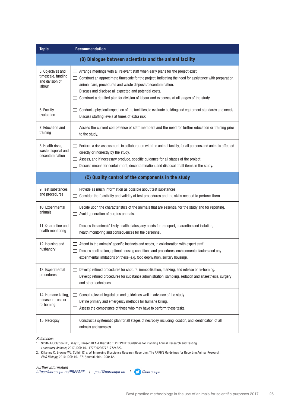| <b>Topic</b>                                                         | <b>Recommendation</b>                                                                                                                                                                                                                                                                                                                                                                                                               |  |
|----------------------------------------------------------------------|-------------------------------------------------------------------------------------------------------------------------------------------------------------------------------------------------------------------------------------------------------------------------------------------------------------------------------------------------------------------------------------------------------------------------------------|--|
|                                                                      | (B) Dialogue between scientists and the animal facility                                                                                                                                                                                                                                                                                                                                                                             |  |
| 5. Objectives and<br>timescale, funding<br>and division of<br>labour | Arrange meetings with all relevant staff when early plans for the project exist.<br>Construct an approximate timescale for the project, indicating the need for assistance with preparation,<br>animal care, procedures and waste disposal/decontamination.<br>Discuss and disclose all expected and potential costs.<br>Construct a detailed plan for division of labour and expenses at all stages of the study.<br>$\mathcal{A}$ |  |
| 6. Facility<br>evaluation                                            | Conduct a physical inspection of the facilities, to evaluate building and equipment standards and needs.<br>Discuss staffing levels at times of extra risk.                                                                                                                                                                                                                                                                         |  |
| 7. Education and<br>training                                         | Assess the current competence of staff members and the need for further education or training prior<br>to the study.                                                                                                                                                                                                                                                                                                                |  |
| 8. Health risks,<br>waste disposal and<br>decontamination            | Perform a risk assessment, in collaboration with the animal facility, for all persons and animals affected<br>directly or indirectly by the study.<br>Assess, and if necessary produce, specific guidance for all stages of the project.<br>Discuss means for containment, decontamination, and disposal of all items in the study.                                                                                                 |  |
| (C) Quality control of the components in the study                   |                                                                                                                                                                                                                                                                                                                                                                                                                                     |  |
| 9. Test substances<br>and procedures                                 | Provide as much information as possible about test substances.<br>Consider the feasibility and validity of test procedures and the skills needed to perform them.<br>$\sim$                                                                                                                                                                                                                                                         |  |
| 10. Experimental<br>animals                                          | Decide upon the characteristics of the animals that are essential for the study and for reporting.<br>Avoid generation of surplus animals.                                                                                                                                                                                                                                                                                          |  |
| 11. Quarantine and<br>health monitoring                              | Discuss the animals' likely health status, any needs for transport, quarantine and isolation,<br>health monitoring and consequences for the personnel.                                                                                                                                                                                                                                                                              |  |
| 12. Housing and<br>husbandry                                         | Attend to the animals' specific instincts and needs, in collaboration with expert staff.<br>Discuss acclimation, optimal housing conditions and procedures, environmental factors and any<br>experimental limitations on these (e.g. food deprivation, solitary housing).                                                                                                                                                           |  |
| 13. Experimental<br>procedures                                       | Develop refined procedures for capture, immobilisation, marking, and release or re-homing.<br>Develop refined procedures for substance administration, sampling, sedation and anaesthesia, surgery<br>and other techniques.                                                                                                                                                                                                         |  |
| 14. Humane killing,<br>release, re-use or<br>re-homing               | Consult relevant legislation and guidelines well in advance of the study.<br>Define primary and emergency methods for humane killing.<br>Assess the competence of those who may have to perform these tasks.                                                                                                                                                                                                                        |  |
| 15. Necropsy                                                         | Construct a systematic plan for all stages of necropsy, including location, and identification of all<br>animals and samples.                                                                                                                                                                                                                                                                                                       |  |

#### *References*

1. Smith AJ, Clutton RE, Lilley E, Hansen KEA & Brattelid T. PREPARE:Guidelines for Planning Animal Research and Testing. *Laboratory Animals,* 2017, DOI: 10.1177/0023677217724823.

2. Kilkenny C, Browne WJ, Cuthill IC *et al.* Improving Bioscience Research Reporting: The ARRIVE Guidelines for Reporting Animal Research. *PloS Biology,* 2010; DOI: 10.1371/journal.pbio.1000412.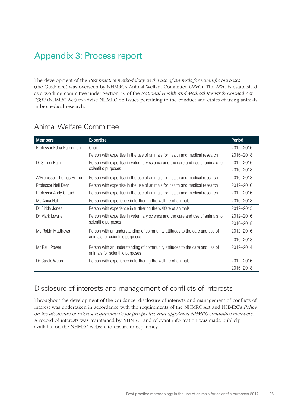# <span id="page-28-0"></span>Appendix 3: Process report

The development of the *Best practice methodology in the use of animals for scientific purposes* (the Guidance) was overseen by NHMRC's Animal Welfare Committee (AWC). The AWC is established as a working committee under Section 39 of the *National Health and Medical Research Council Act 1992* (NHMRC Act) to advise NHMRC on issues pertaining to the conduct and ethics of using animals in biomedical research.

| <b>Members</b>           | <b>Expertise</b>                                                                                              | <b>Period</b> |
|--------------------------|---------------------------------------------------------------------------------------------------------------|---------------|
| Professor Edna Hardeman  | Chair                                                                                                         | 2012-2016     |
|                          | Person with expertise in the use of animals for health and medical research                                   | 2016-2018     |
| Dr Simon Bain            | Person with expertise in veterinary science and the care and use of animals for<br>scientific purposes        | 2012-2016     |
|                          |                                                                                                               | 2016-2018     |
| A/Professor Thomas Burne | Person with expertise in the use of animals for health and medical research                                   | 2016-2018     |
| Professor Neil Dear      | Person with expertise in the use of animals for health and medical research                                   | 2012-2016     |
| Professor Andy Giraud    | Person with expertise in the use of animals for health and medical research                                   | 2012-2016     |
| Ms Anna Hall             | Person with experience in furthering the welfare of animals                                                   | 2016-2018     |
| Dr Bidda Jones           | Person with experience in furthering the welfare of animals                                                   | 2012-2015     |
| Dr Mark Lawrie           | Person with expertise in veterinary science and the care and use of animals for<br>scientific purposes        | 2012-2016     |
|                          |                                                                                                               | 2016-2018     |
| Ms Robin Matthews        | Person with an understanding of community attitudes to the care and use of<br>animals for scientific purposes | 2012-2016     |
|                          |                                                                                                               | 2016-2018     |
| Mr Paul Power            | Person with an understanding of community attitudes to the care and use of                                    | 2012-2014     |
|                          | animals for scientific purposes                                                                               |               |
| Dr Carole Webb           | Person with experience in furthering the welfare of animals                                                   | 2012-2016     |
|                          |                                                                                                               | 2016-2018     |

## Animal Welfare Committee

## Disclosure of interests and management of conflicts of interests

Throughout the development of the Guidance, disclosure of interests and management of conflicts of interest was undertaken in accordance with the requirements of the NHMRC Act and NHMRC's *Policy on the disclosure of interest requirements for prospective and appointed NHMRC committee members.*  A record of interests was maintained by NHMRC, and relevant information was made publicly available on the NHMRC website to ensure transparency.